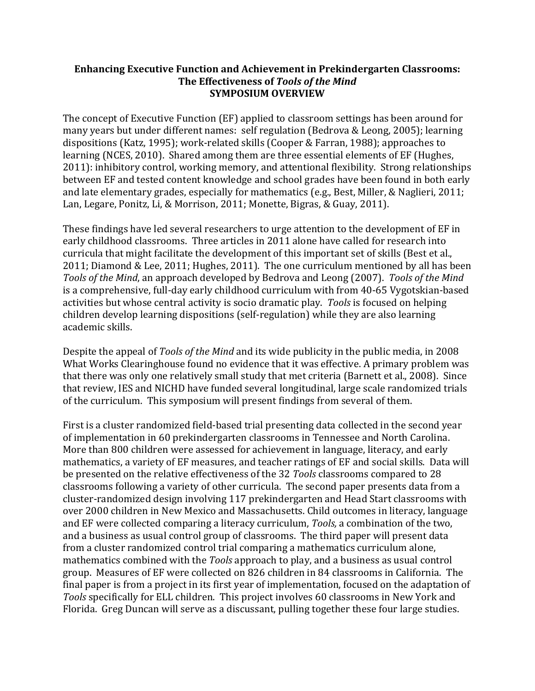#### **Enhancing Executive Function and Achievement in Prekindergarten Classrooms:** The Effectiveness of Tools of the Mind **SYMPOSIUM OVERVIEW**

The concept of Executive Function (EF) applied to classroom settings has been around for many vears but under different names: self regulation (Bedrova & Leong, 2005); learning dispositions (Katz, 1995); work-related skills (Cooper & Farran, 1988); approaches to learning (NCES, 2010). Shared among them are three essential elements of EF (Hughes, 2011): inhibitory control, working memory, and attentional flexibility. Strong relationships between EF and tested content knowledge and school grades have been found in both early and late elementary grades, especially for mathematics (e.g., Best, Miller, & Naglieri, 2011; Lan, Legare, Ponitz, Li, & Morrison, 2011; Monette, Bigras, & Guay, 2011).

These findings have led several researchers to urge attention to the development of EF in early childhood classrooms. Three articles in 2011 alone have called for research into curricula that might facilitate the development of this important set of skills (Best et al., 2011; Diamond & Lee, 2011; Hughes, 2011). The one curriculum mentioned by all has been *Tools of the Mind*, an approach developed by Bedrova and Leong (2007). *Tools of the Mind* is a comprehensive, full-day early childhood curriculum with from 40-65 Vygotskian-based activities but whose central activity is socio dramatic play. Tools is focused on helping children develop learning dispositions (self-regulation) while they are also learning academic skills.

Despite the appeal of *Tools of the Mind* and its wide publicity in the public media, in 2008 What Works Clearinghouse found no evidence that it was effective. A primary problem was that there was only one relatively small study that met criteria (Barnett et al., 2008). Since that review, IES and NICHD have funded several longitudinal, large scale randomized trials of the curriculum. This symposium will present findings from several of them.

First is a cluster randomized field-based trial presenting data collected in the second year of implementation in 60 prekindergarten classrooms in Tennessee and North Carolina. More than 800 children were assessed for achievement in language, literacy, and early mathematics, a variety of EF measures, and teacher ratings of EF and social skills. Data will be presented on the relative effectiveness of the 32 *Tools* classrooms compared to 28 classrooms following a variety of other curricula. The second paper presents data from a cluster-randomized design involving 117 prekindergarten and Head Start classrooms with over 2000 children in New Mexico and Massachusetts. Child outcomes in literacy, language and EF were collected comparing a literacy curriculum, *Tools*, a combination of the two, and a business as usual control group of classrooms. The third paper will present data from a cluster randomized control trial comparing a mathematics curriculum alone, mathematics combined with the *Tools* approach to play, and a business as usual control group. Measures of EF were collected on 826 children in 84 classrooms in California. The final paper is from a project in its first year of implementation, focused on the adaptation of *Tools* specifically for ELL children. This project involves 60 classrooms in New York and Florida. Greg Duncan will serve as a discussant, pulling together these four large studies.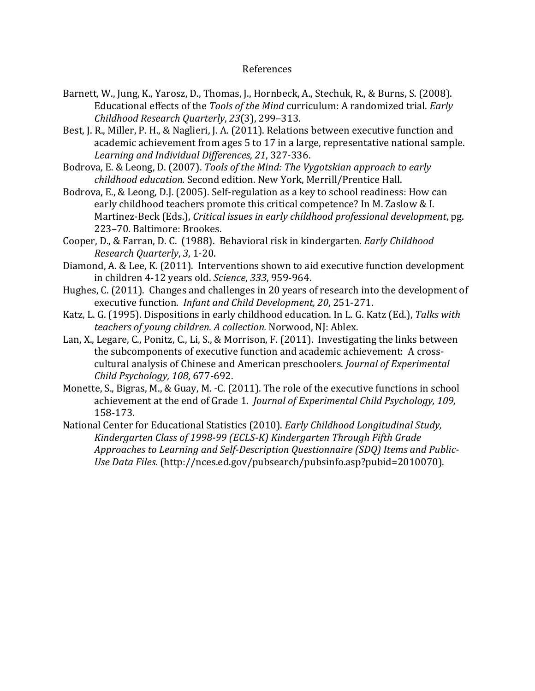#### References

- Barnett, W., Jung, K., Yarosz, D., Thomas, J., Hornbeck, A., Stechuk, R., & Burns, S. (2008). Educational effects of the *Tools of the Mind* curriculum: A randomized trial. *Early Childhood Research Quarterly, 23*(3), 299-313.
- Best, J. R., Miller, P. H., & Naglieri, J. A. (2011). Relations between executive function and academic achievement from ages 5 to 17 in a large, representative national sample. Learning and Individual Differences, 21, 327-336.
- Bodrova, E. & Leong, D. (2007). *Tools of the Mind: The Vygotskian approach to early childhood%education.* Second!edition.!New!York,!Merrill/Prentice!Hall.
- Bodrova, E., & Leong, D.J. (2005). Self-regulation as a key to school readiness: How can early childhood teachers promote this critical competence? In M. Zaslow & I. Martinez-Beck (Eds.), *Critical issues in early childhood professional development*, pg. 223-70. Baltimore: Brookes.
- Cooper, D., & Farran, D. C. (1988). Behavioral risk in kindergarten. *Early Childhood Research Quarterly*, 3, 1-20.
- Diamond, A. & Lee, K. (2011). Interventions shown to aid executive function development in children 4-12 years old. *Science*, 333, 959-964.
- Hughes, C. (2011). Changes and challenges in 20 years of research into the development of executive function. *Infant and Child Development, 20*, 251-271.
- Katz, L. G. (1995). Dispositions in early childhood education. In L. G. Katz (Ed.), Talks with *teachers of young children. A collection.* Norwood, NJ: Ablex.
- Lan, X., Legare, C., Ponitz, C., Li, S., & Morrison, F. (2011). Investigating the links between the subcomponents of executive function and academic achievement: A crosscultural analysis of Chinese and American preschoolers. *Journal of Experimental Child Psychology, 108, 677-692.*
- Monette, S., Bigras, M., & Guay, M. -C. (2011). The role of the executive functions in school achievement at the end of Grade 1. *Journal of Experimental Child Psychology, 109,* 158-173.
- National Center for Educational Statistics (2010). *Early Childhood Longitudinal Study*, *Kindergarten%Class%of%1998P99%(ECLSPK)%Kindergarten%Through%Fifth%Grade%* Approaches to Learning and Self-Description Questionnaire (SDQ) Items and Public-*Use%Data%Files.* (http://nces.ed.gov/pubsearch/pubsinfo.asp?pubid=2010070).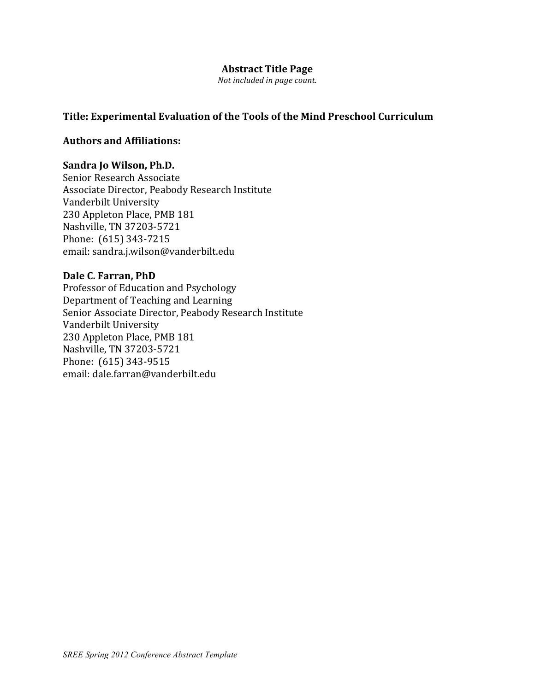#### **Abstract Title Page**

*Not included in page count.* 

### Title: Experimental Evaluation of the Tools of the Mind Preschool Curriculum

#### **Authors(and(Affiliations:**

#### **Sandra Jo Wilson, Ph.D.**

Senior Research Associate Associate Director, Peabody Research Institute Vanderbilt University 230 Appleton Place, PMB 181 Nashville, TN 37203-5721 Phone: (615) 343-7215 email: sandra.j.wilson@vanderbilt.edu

# Dale C. Farran, PhD

Professor of Education and Psychology Department of Teaching and Learning Senior Associate Director, Peabody Research Institute Vanderbilt University 230 Appleton Place, PMB 181 Nashville, TN 37203-5721 Phone: (615) 343-9515 email: dale.farran@vanderbilt.edu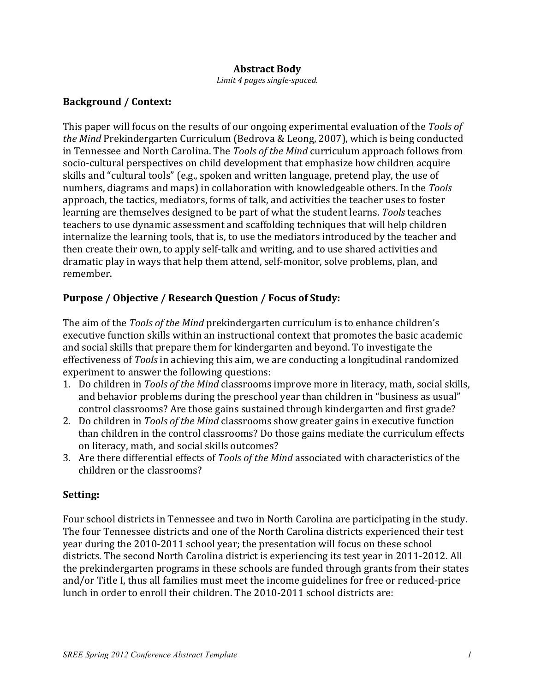### **Abstract Body**

*Limit 4 pages single-spaced.* 

### **Background** / Context:

This paper will focus on the results of our ongoing experimental evaluation of the *Tools of the Mind* Prekindergarten Curriculum (Bedrova & Leong, 2007), which is being conducted in Tennessee and North Carolina. The *Tools of the Mind* curriculum approach follows from socio-cultural perspectives on child development that emphasize how children acquire skills and "cultural tools" (e.g., spoken and written language, pretend play, the use of numbers, diagrams and maps) in collaboration with knowledgeable others. In the *Tools* approach, the tactics, mediators, forms of talk, and activities the teacher uses to foster learning are themselves designed to be part of what the student learns. *Tools* teaches teachers to use dynamic assessment and scaffolding techniques that will help children internalize the learning tools, that is, to use the mediators introduced by the teacher and then create their own, to apply self-talk and writing, and to use shared activities and dramatic play in ways that help them attend, self-monitor, solve problems, plan, and remember.!

# Purpose / Objective / Research Question / Focus of Study:

The aim of the *Tools of the Mind* prekindergarten curriculum is to enhance children's executive function skills within an instructional context that promotes the basic academic and social skills that prepare them for kindergarten and beyond. To investigate the effectiveness of *Tools* in achieving this aim, we are conducting a longitudinal randomized experiment to answer the following questions:

- 1. Do children in *Tools of the Mind* classrooms improve more in literacy, math, social skills, and behavior problems during the preschool year than children in "business as usual" control classrooms? Are those gains sustained through kindergarten and first grade?
- 2. Do children in *Tools of the Mind* classrooms show greater gains in executive function than children in the control classrooms? Do those gains mediate the curriculum effects on literacy, math, and social skills outcomes?
- 3. Are there differential effects of *Tools of the Mind* associated with characteristics of the children or the classrooms?

# **Setting:**

Four school districts in Tennessee and two in North Carolina are participating in the study. The four Tennessee districts and one of the North Carolina districts experienced their test year during the 2010-2011 school year; the presentation will focus on these school districts. The second North Carolina district is experiencing its test year in 2011-2012. All the prekindergarten programs in these schools are funded through grants from their states and/or Title I, thus all families must meet the income guidelines for free or reduced-price lunch in order to enroll their children. The 2010-2011 school districts are: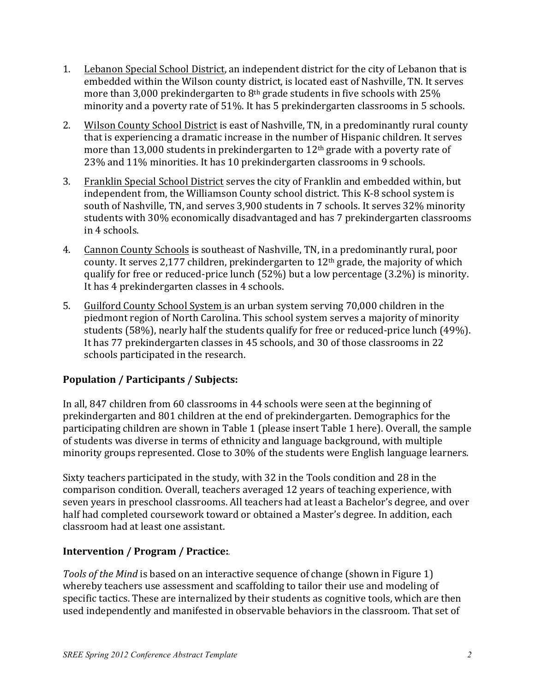- 1. Lebanon Special School District, an independent district for the city of Lebanon that is embedded within the Wilson county district, is located east of Nashville, TN. It serves more than 3,000 prekindergarten to  $8<sup>th</sup>$  grade students in five schools with 25% minority and a poverty rate of 51%. It has 5 prekindergarten classrooms in 5 schools.
- 2. Wilson County School District is east of Nashville, TN, in a predominantly rural county that is experiencing a dramatic increase in the number of Hispanic children. It serves more than 13,000 students in prekindergarten to  $12<sup>th</sup>$  grade with a poverty rate of 23% and 11% minorities. It has 10 prekindergarten classrooms in 9 schools.
- 3. Franklin Special School District serves the city of Franklin and embedded within, but independent from, the Williamson County school district. This K-8 school system is south of Nashville, TN, and serves 3,900 students in 7 schools. It serves 32% minority students with 30% economically disadvantaged and has 7 prekindergarten classrooms in 4 schools.
- 4. Cannon County Schools is southeast of Nashville, TN, in a predominantly rural, poor county. It serves 2,177 children, prekindergarten to  $12<sup>th</sup>$  grade, the majority of which qualify for free or reduced-price lunch (52%) but a low percentage (3.2%) is minority. It has 4 prekindergarten classes in 4 schools.
- 5. Guilford County School System is an urban system serving 70,000 children in the piedmont region of North Carolina. This school system serves a majority of minority students (58%), nearly half the students qualify for free or reduced-price lunch (49%). It has 77 prekindergarten classes in 45 schools, and 30 of those classrooms in 22 schools participated in the research.

# Population / Participants / Subjects:

In all, 847 children from 60 classrooms in 44 schools were seen at the beginning of prekindergarten and 801 children at the end of prekindergarten. Demographics for the participating children are shown in Table 1 (please insert Table 1 here). Overall, the sample of students was diverse in terms of ethnicity and language background, with multiple minority groups represented. Close to 30% of the students were English language learners.

Sixty teachers participated in the study, with 32 in the Tools condition and 28 in the comparison condition. Overall, teachers averaged 12 years of teaching experience, with seven years in preschool classrooms. All teachers had at least a Bachelor's degree, and over half had completed coursework toward or obtained a Master's degree. In addition, each classroom had at least one assistant.

# Intervention / Program / Practice:

*Tools of the Mind* is based on an interactive sequence of change (shown in Figure 1) whereby teachers use assessment and scaffolding to tailor their use and modeling of specific tactics. These are internalized by their students as cognitive tools, which are then used independently and manifested in observable behaviors in the classroom. That set of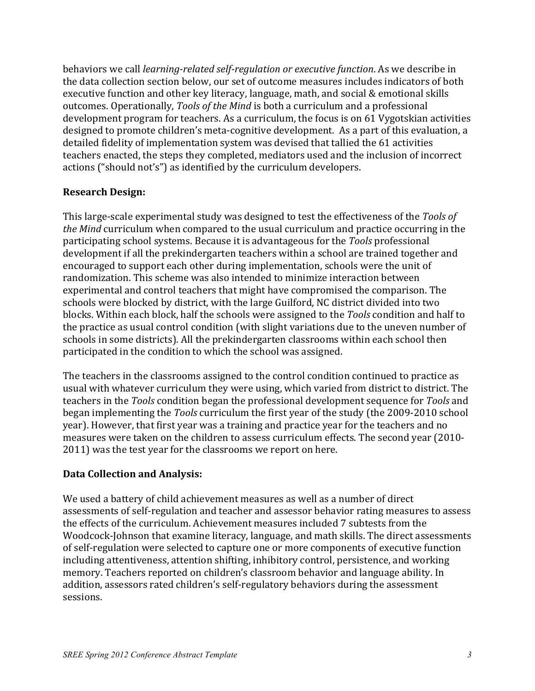behaviors we call *learning-related self-regulation or executive function*. As we describe in the data collection section below, our set of outcome measures includes indicators of both executive function and other key literacy, language, math, and social  $&$  emotional skills outcomes. Operationally, *Tools of the Mind* is both a curriculum and a professional development program for teachers. As a curriculum, the focus is on 61 Vygotskian activities designed to promote children's meta-cognitive development. As a part of this evaluation, a detailed fidelity of implementation system was devised that tallied the 61 activities teachers enacted, the steps they completed, mediators used and the inclusion of incorrect actions ("should not's") as identified by the curriculum developers.

### **Research Design:**

This large-scale experimental study was designed to test the effectiveness of the *Tools of the Mind* curriculum when compared to the usual curriculum and practice occurring in the participating school systems. Because it is advantageous for the *Tools* professional development if all the prekindergarten teachers within a school are trained together and encouraged to support each other during implementation, schools were the unit of randomization. This scheme was also intended to minimize interaction between experimental and control teachers that might have compromised the comparison. The schools were blocked by district, with the large Guilford, NC district divided into two blocks. Within each block, half the schools were assigned to the *Tools* condition and half to the practice as usual control condition (with slight variations due to the uneven number of schools in some districts). All the prekindergarten classrooms within each school then participated in the condition to which the school was assigned.

The teachers in the classrooms assigned to the control condition continued to practice as usual with whatever curriculum they were using, which varied from district to district. The teachers in the *Tools* condition began the professional development sequence for *Tools* and began implementing the *Tools* curriculum the first year of the study (the 2009-2010 school year). However, that first year was a training and practice year for the teachers and no measures were taken on the children to assess curriculum effects. The second year (2010-2011) was the test year for the classrooms we report on here.

# **Data Collection and Analysis:**

We used a battery of child achievement measures as well as a number of direct assessments of self-regulation and teacher and assessor behavior rating measures to assess the effects of the curriculum. Achievement measures included 7 subtests from the Woodcock-Johnson that examine literacy, language, and math skills. The direct assessments of self-regulation were selected to capture one or more components of executive function including attentiveness, attention shifting, inhibitory control, persistence, and working memory. Teachers reported on children's classroom behavior and language ability. In addition, assessors rated children's self-regulatory behaviors during the assessment sessions.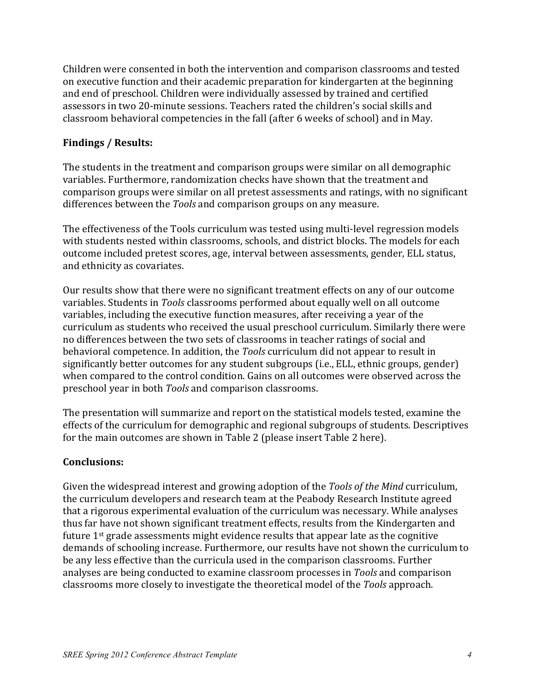Children were consented in both the intervention and comparison classrooms and tested on executive function and their academic preparation for kindergarten at the beginning and end of preschool. Children were individually assessed by trained and certified assessors in two 20-minute sessions. Teachers rated the children's social skills and classroom behavioral competencies in the fall (after 6 weeks of school) and in May.

# **Findings / Results:**

The students in the treatment and comparison groups were similar on all demographic variables. Furthermore, randomization checks have shown that the treatment and comparison groups were similar on all pretest assessments and ratings, with no significant differences between the *Tools* and comparison groups on any measure.

The effectiveness of the Tools curriculum was tested using multi-level regression models with students nested within classrooms, schools, and district blocks. The models for each outcome included pretest scores, age, interval between assessments, gender, ELL status, and ethnicity as covariates.

Our results show that there were no significant treatment effects on any of our outcome variables. Students in *Tools* classrooms performed about equally well on all outcome variables, including the executive function measures, after receiving a year of the curriculum as students who received the usual preschool curriculum. Similarly there were no differences between the two sets of classrooms in teacher ratings of social and behavioral competence. In addition, the *Tools* curriculum did not appear to result in significantly better outcomes for any student subgroups (i.e., ELL, ethnic groups, gender) when compared to the control condition. Gains on all outcomes were observed across the preschool year in both *Tools* and comparison classrooms.

The presentation will summarize and report on the statistical models tested, examine the effects of the curriculum for demographic and regional subgroups of students. Descriptives for the main outcomes are shown in Table 2 (please insert Table 2 here).

# **Conclusions:**

Given the widespread interest and growing adoption of the *Tools of the Mind* curriculum, the curriculum developers and research team at the Peabody Research Institute agreed that a rigorous experimental evaluation of the curriculum was necessary. While analyses thus far have not shown significant treatment effects, results from the Kindergarten and future  $1<sup>st</sup>$  grade assessments might evidence results that appear late as the cognitive demands of schooling increase. Furthermore, our results have not shown the curriculum to be any less effective than the curricula used in the comparison classrooms. Further analyses are being conducted to examine classroom processes in *Tools* and comparison classrooms more closely to investigate the theoretical model of the *Tools* approach.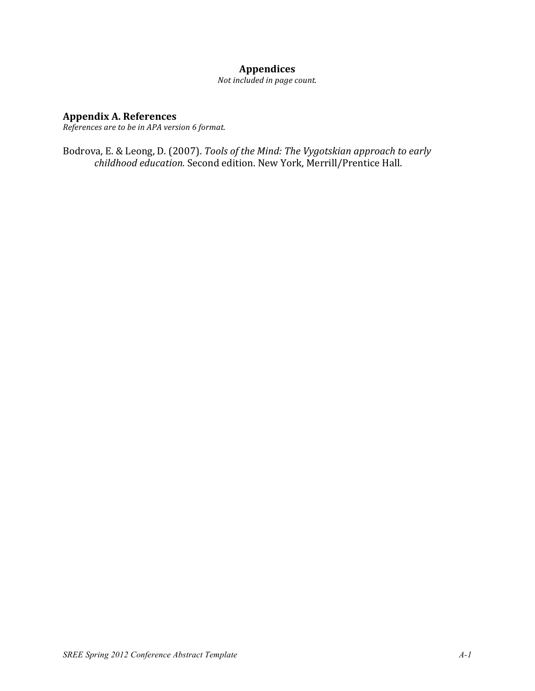# **Appendices**

Not included in page count.

### **Appendix A. References**

*References are to be in APA version 6 format.* 

Bodrova, E. & Leong, D. (2007). *Tools of the Mind: The Vygotskian approach to early* childhood education. Second edition. New York, Merrill/Prentice Hall.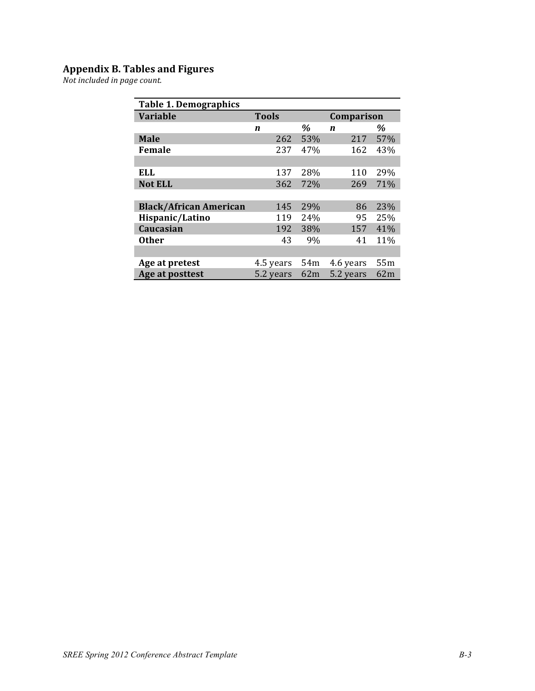#### **Appendix(B.(Tables(and(Figures**

*Not\$included\$in\$page\$count.*

| <b>Table 1. Demographics</b>  |              |      |                  |     |  |  |
|-------------------------------|--------------|------|------------------|-----|--|--|
| <b>Variable</b>               | <b>Tools</b> |      | Comparison       |     |  |  |
|                               | n            | $\%$ | $\boldsymbol{n}$ | %   |  |  |
| <b>Male</b>                   | 262          | 53%  | 217              | 57% |  |  |
| Female                        | 237          | 47%  | 162              | 43% |  |  |
|                               |              |      |                  |     |  |  |
| <b>ELL</b>                    | 137          | 28%  | 110              | 29% |  |  |
| <b>Not ELL</b>                | 362          | 72%  | 269              | 71% |  |  |
|                               |              |      |                  |     |  |  |
| <b>Black/African American</b> | 145          | 29%  | 86               | 23% |  |  |
| Hispanic/Latino               | 119          | 24%  | 95               | 25% |  |  |
| Caucasian                     | 192          | 38%  | 157              | 41% |  |  |
| <b>Other</b>                  | 43           | 9%   | 41               | 11% |  |  |
|                               |              |      |                  |     |  |  |
| Age at pretest                | 4.5 years    | 54m  | 4.6 years        | 55m |  |  |
| Age at posttest               | 5.2 years    | 62m  | 5.2 years        | 62m |  |  |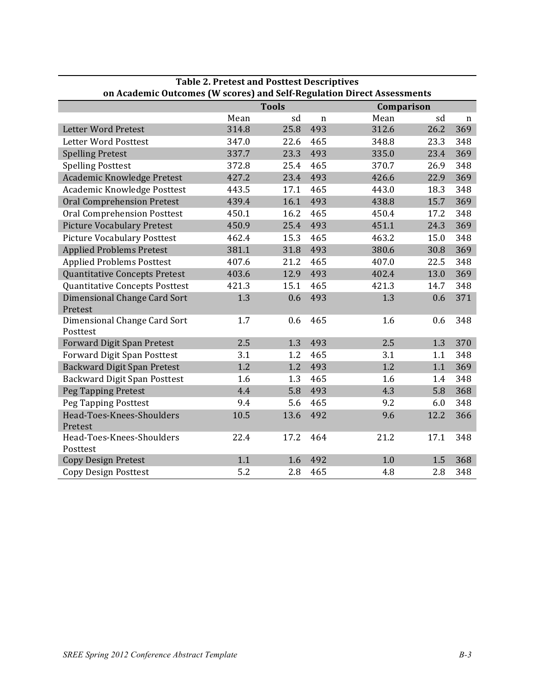| Table 2. Pretest and Postlest Descriptives<br>on Academic Outcomes (W scores) and Self-Regulation Direct Assessments |       |              |             |            |      |             |  |  |  |
|----------------------------------------------------------------------------------------------------------------------|-------|--------------|-------------|------------|------|-------------|--|--|--|
|                                                                                                                      |       | <b>Tools</b> |             | Comparison |      |             |  |  |  |
|                                                                                                                      | Mean  | sd           | $\mathbf n$ | Mean       | sd   | $\mathbf n$ |  |  |  |
| <b>Letter Word Pretest</b>                                                                                           | 314.8 | 25.8         | 493         | 312.6      | 26.2 | 369         |  |  |  |
| Letter Word Posttest                                                                                                 | 347.0 | 22.6         | 465         | 348.8      | 23.3 | 348         |  |  |  |
| <b>Spelling Pretest</b>                                                                                              | 337.7 | 23.3         | 493         | 335.0      | 23.4 | 369         |  |  |  |
| <b>Spelling Posttest</b>                                                                                             | 372.8 | 25.4         | 465         | 370.7      | 26.9 | 348         |  |  |  |
| Academic Knowledge Pretest                                                                                           | 427.2 | 23.4         | 493         | 426.6      | 22.9 | 369         |  |  |  |
| Academic Knowledge Posttest                                                                                          | 443.5 | 17.1         | 465         | 443.0      | 18.3 | 348         |  |  |  |
| <b>Oral Comprehension Pretest</b>                                                                                    | 439.4 | 16.1         | 493         | 438.8      | 15.7 | 369         |  |  |  |
| Oral Comprehension Posttest                                                                                          | 450.1 | 16.2         | 465         | 450.4      | 17.2 | 348         |  |  |  |
| <b>Picture Vocabulary Pretest</b>                                                                                    | 450.9 | 25.4         | 493         | 451.1      | 24.3 | 369         |  |  |  |
| <b>Picture Vocabulary Posttest</b>                                                                                   | 462.4 | 15.3         | 465         | 463.2      | 15.0 | 348         |  |  |  |
| <b>Applied Problems Pretest</b>                                                                                      | 381.1 | 31.8         | 493         | 380.6      | 30.8 | 369         |  |  |  |
| <b>Applied Problems Posttest</b>                                                                                     | 407.6 | 21.2         | 465         | 407.0      | 22.5 | 348         |  |  |  |
| Quantitative Concepts Pretest                                                                                        | 403.6 | 12.9         | 493         | 402.4      | 13.0 | 369         |  |  |  |
| <b>Quantitative Concepts Posttest</b>                                                                                | 421.3 | 15.1         | 465         | 421.3      | 14.7 | 348         |  |  |  |
| Dimensional Change Card Sort<br>Pretest                                                                              | 1.3   | 0.6          | 493         | 1.3        | 0.6  | 371         |  |  |  |
| Dimensional Change Card Sort<br>Posttest                                                                             | 1.7   | 0.6          | 465         | 1.6        | 0.6  | 348         |  |  |  |
| <b>Forward Digit Span Pretest</b>                                                                                    | 2.5   | 1.3          | 493         | 2.5        | 1.3  | 370         |  |  |  |
| <b>Forward Digit Span Posttest</b>                                                                                   | 3.1   | 1.2          | 465         | 3.1        | 1.1  | 348         |  |  |  |
| Backward Digit Span Pretest                                                                                          | 1.2   | 1.2          | 493         | 1.2        | 1.1  | 369         |  |  |  |
| Backward Digit Span Posttest                                                                                         | 1.6   | 1.3          | 465         | 1.6        | 1.4  | 348         |  |  |  |
| Peg Tapping Pretest                                                                                                  | 4.4   | 5.8          | 493         | 4.3        | 5.8  | 368         |  |  |  |
| Peg Tapping Posttest                                                                                                 | 9.4   | 5.6          | 465         | 9.2        | 6.0  | 348         |  |  |  |
| Head-Toes-Knees-Shoulders<br>Pretest                                                                                 | 10.5  | 13.6         | 492         | 9.6        | 12.2 | 366         |  |  |  |
| Head-Toes-Knees-Shoulders<br>Posttest                                                                                | 22.4  | 17.2         | 464         | 21.2       | 17.1 | 348         |  |  |  |
| <b>Copy Design Pretest</b>                                                                                           | 1.1   | 1.6          | 492         | 1.0        | 1.5  | 368         |  |  |  |
| <b>Copy Design Posttest</b>                                                                                          | 5.2   | 2.8          | 465         | 4.8        | 2.8  | 348         |  |  |  |

**Table(2.(Pretest(and(Posttest(Descriptives(**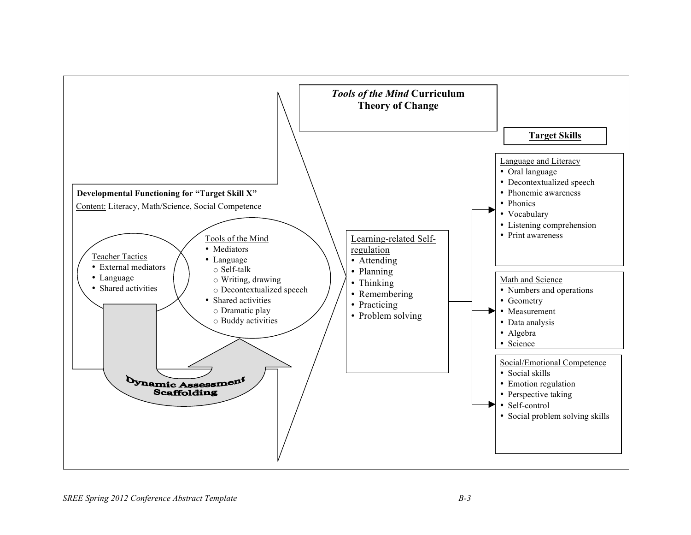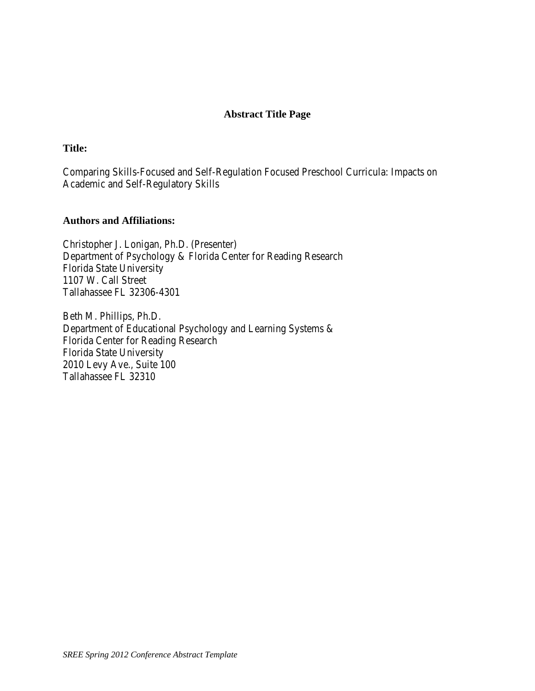#### **Abstract Title Page**

#### **Title:**

Comparing Skills-Focused and Self-Regulation Focused Preschool Curricula: Impacts on Academic and Self-Regulatory Skills

#### **Authors and Affiliations:**

Christopher J. Lonigan, Ph.D. (Presenter) Department of Psychology & Florida Center for Reading Research Florida State University 1107 W. Call Street Tallahassee FL 32306-4301

Beth M. Phillips, Ph.D. Department of Educational Psychology and Learning Systems & Florida Center for Reading Research Florida State University 2010 Levy Ave., Suite 100 Tallahassee FL 32310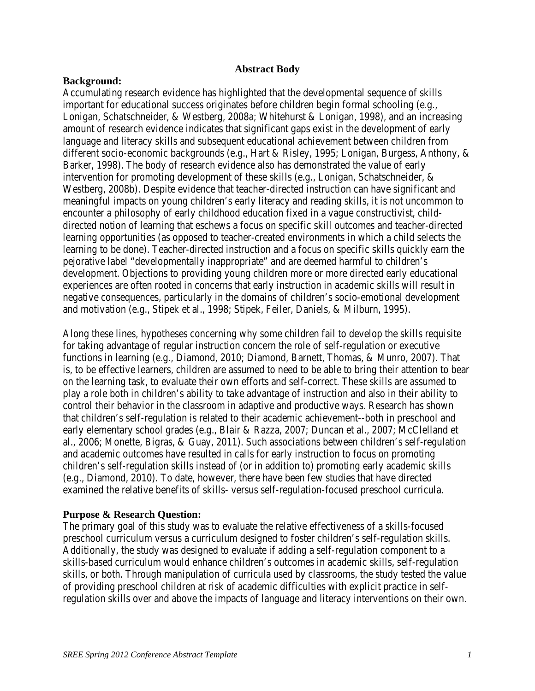#### **Abstract Body**

#### **Background:**

Accumulating research evidence has highlighted that the developmental sequence of skills important for educational success originates before children begin formal schooling (e.g., Lonigan, Schatschneider, & Westberg, 2008a; Whitehurst & Lonigan, 1998), and an increasing amount of research evidence indicates that significant gaps exist in the development of early language and literacy skills and subsequent educational achievement between children from different socio-economic backgrounds (e.g., Hart & Risley, 1995; Lonigan, Burgess, Anthony, & Barker, 1998). The body of research evidence also has demonstrated the value of early intervention for promoting development of these skills (e.g., Lonigan, Schatschneider, & Westberg, 2008b). Despite evidence that teacher-directed instruction can have significant and meaningful impacts on young children's early literacy and reading skills, it is not uncommon to encounter a philosophy of early childhood education fixed in a vague constructivist, childdirected notion of learning that eschews a focus on specific skill outcomes and teacher-directed learning opportunities (as opposed to teacher-created environments in which a child selects the learning to be done). Teacher-directed instruction and a focus on specific skills quickly earn the pejorative label "developmentally inappropriate" and are deemed harmful to children's development. Objections to providing young children more or more directed early educational experiences are often rooted in concerns that early instruction in academic skills will result in negative consequences, particularly in the domains of children's socio-emotional development and motivation (e.g., Stipek et al., 1998; Stipek, Feiler, Daniels, & Milburn, 1995).

Along these lines, hypotheses concerning why some children fail to develop the skills requisite for taking advantage of regular instruction concern the role of self-regulation or executive functions in learning (e.g., Diamond, 2010; Diamond, Barnett, Thomas, & Munro, 2007). That is, to be effective learners, children are assumed to need to be able to bring their attention to bear on the learning task, to evaluate their own efforts and self-correct. These skills are assumed to play a role both in children's ability to take advantage of instruction and also in their ability to control their behavior in the classroom in adaptive and productive ways. Research has shown that children's self-regulation is related to their academic achievement--both in preschool and early elementary school grades (e.g., Blair & Razza, 2007; Duncan et al., 2007; McClelland et al., 2006; Monette, Bigras, & Guay, 2011). Such associations between children's self-regulation and academic outcomes have resulted in calls for early instruction to focus on promoting children's self-regulation skills instead of (or in addition to) promoting early academic skills (e.g., Diamond, 2010). To date, however, there have been few studies that have directed examined the relative benefits of skills- versus self-regulation-focused preschool curricula.

#### **Purpose & Research Question:**

The primary goal of this study was to evaluate the relative effectiveness of a skills-focused preschool curriculum versus a curriculum designed to foster children's self-regulation skills. Additionally, the study was designed to evaluate if adding a self-regulation component to a skills-based curriculum would enhance children's outcomes in academic skills, self-regulation skills, or both. Through manipulation of curricula used by classrooms, the study tested the value of providing preschool children at risk of academic difficulties with explicit practice in selfregulation skills over and above the impacts of language and literacy interventions on their own.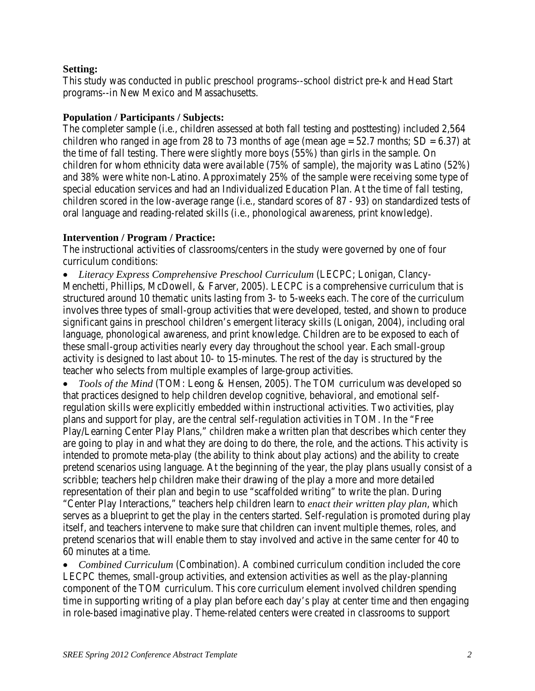#### **Setting:**

This study was conducted in public preschool programs--school district pre-k and Head Start programs--in New Mexico and Massachusetts.

#### **Population / Participants / Subjects:**

The completer sample (i.e., children assessed at both fall testing and posttesting) included 2,564 children who ranged in age from 28 to 73 months of age (mean age  $= 52.7$  months; SD  $= 6.37$ ) at the time of fall testing. There were slightly more boys (55%) than girls in the sample. On children for whom ethnicity data were available (75% of sample), the majority was Latino (52%) and 38% were white non-Latino. Approximately 25% of the sample were receiving some type of special education services and had an Individualized Education Plan. At the time of fall testing, children scored in the low-average range (i.e., standard scores of 87 - 93) on standardized tests of oral language and reading-related skills (i.e., phonological awareness, print knowledge).

### **Intervention / Program / Practice:**

The instructional activities of classrooms/centers in the study were governed by one of four curriculum conditions:

• *Literacy Express Comprehensive Preschool Curriculum* (LECPC; Lonigan, Clancy-Menchetti, Phillips, McDowell, & Farver, 2005). LECPC is a comprehensive curriculum that is structured around 10 thematic units lasting from 3- to 5-weeks each. The core of the curriculum involves three types of small-group activities that were developed, tested, and shown to produce significant gains in preschool children's emergent literacy skills (Lonigan, 2004), including oral language, phonological awareness, and print knowledge. Children are to be exposed to each of these small-group activities nearly every day throughout the school year. Each small-group activity is designed to last about 10- to 15-minutes. The rest of the day is structured by the teacher who selects from multiple examples of large-group activities.

• *Tools of the Mind* (TOM: Leong & Hensen, 2005). The TOM curriculum was developed so that practices designed to help children develop cognitive, behavioral, and emotional selfregulation skills were explicitly embedded within instructional activities. Two activities, play plans and support for play, are the central self-regulation activities in TOM. In the "Free Play/Learning Center Play Plans," children make a written plan that describes which center they are going to play in and what they are doing to do there, the role, and the actions. This activity is intended to promote meta-play (the ability to think about play actions) and the ability to create pretend scenarios using language. At the beginning of the year, the play plans usually consist of a scribble; teachers help children make their drawing of the play a more and more detailed representation of their plan and begin to use "scaffolded writing" to write the plan. During "Center Play Interactions," teachers help children learn to *enact their written play plan*, which serves as a blueprint to get the play in the centers started. Self-regulation is promoted during play itself, and teachers intervene to make sure that children can invent multiple themes, roles, and pretend scenarios that will enable them to stay involved and active in the same center for 40 to 60 minutes at a time.

• *Combined Curriculum* (Combination). A combined curriculum condition included the core LECPC themes, small-group activities, and extension activities as well as the play-planning component of the TOM curriculum. This core curriculum element involved children spending time in supporting writing of a play plan before each day's play at center time and then engaging in role-based imaginative play. Theme-related centers were created in classrooms to support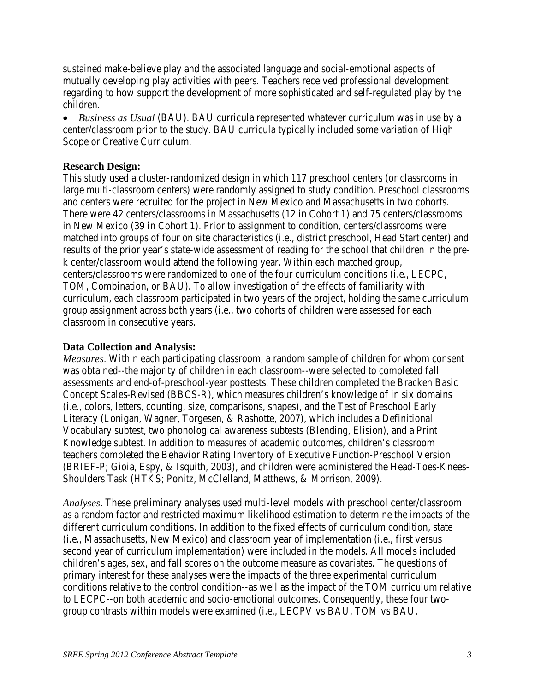sustained make-believe play and the associated language and social-emotional aspects of mutually developing play activities with peers. Teachers received professional development regarding to how support the development of more sophisticated and self-regulated play by the children.

• *Business as Usual* (BAU). BAU curricula represented whatever curriculum was in use by a center/classroom prior to the study. BAU curricula typically included some variation of High Scope or Creative Curriculum.

#### **Research Design:**

This study used a cluster-randomized design in which 117 preschool centers (or classrooms in large multi-classroom centers) were randomly assigned to study condition. Preschool classrooms and centers were recruited for the project in New Mexico and Massachusetts in two cohorts. There were 42 centers/classrooms in Massachusetts (12 in Cohort 1) and 75 centers/classrooms in New Mexico (39 in Cohort 1). Prior to assignment to condition, centers/classrooms were matched into groups of four on site characteristics (i.e., district preschool, Head Start center) and results of the prior year's state-wide assessment of reading for the school that children in the prek center/classroom would attend the following year. Within each matched group, centers/classrooms were randomized to one of the four curriculum conditions (i.e., LECPC, TOM, Combination, or BAU). To allow investigation of the effects of familiarity with curriculum, each classroom participated in two years of the project, holding the same curriculum group assignment across both years (i.e., two cohorts of children were assessed for each classroom in consecutive years.

#### **Data Collection and Analysis:**

*Measures*. Within each participating classroom, a random sample of children for whom consent was obtained--the majority of children in each classroom--were selected to completed fall assessments and end-of-preschool-year posttests. These children completed the Bracken Basic Concept Scales-Revised (BBCS-R), which measures children's knowledge of in six domains (i.e., colors, letters, counting, size, comparisons, shapes), and the Test of Preschool Early Literacy (Lonigan, Wagner, Torgesen, & Rashotte, 2007), which includes a Definitional Vocabulary subtest, two phonological awareness subtests (Blending, Elision), and a Print Knowledge subtest. In addition to measures of academic outcomes, children's classroom teachers completed the Behavior Rating Inventory of Executive Function-Preschool Version (BRIEF-P; Gioia, Espy, & Isquith, 2003), and children were administered the Head-Toes-Knees-Shoulders Task (HTKS; Ponitz, McClelland, Matthews, & Morrison, 2009).

*Analyses*. These preliminary analyses used multi-level models with preschool center/classroom as a random factor and restricted maximum likelihood estimation to determine the impacts of the different curriculum conditions. In addition to the fixed effects of curriculum condition, state (i.e., Massachusetts, New Mexico) and classroom year of implementation (i.e., first versus second year of curriculum implementation) were included in the models. All models included children's ages, sex, and fall scores on the outcome measure as covariates. The questions of primary interest for these analyses were the impacts of the three experimental curriculum conditions relative to the control condition--as well as the impact of the TOM curriculum relative to LECPC--on both academic and socio-emotional outcomes. Consequently, these four twogroup contrasts within models were examined (i.e., LECPV vs BAU, TOM vs BAU,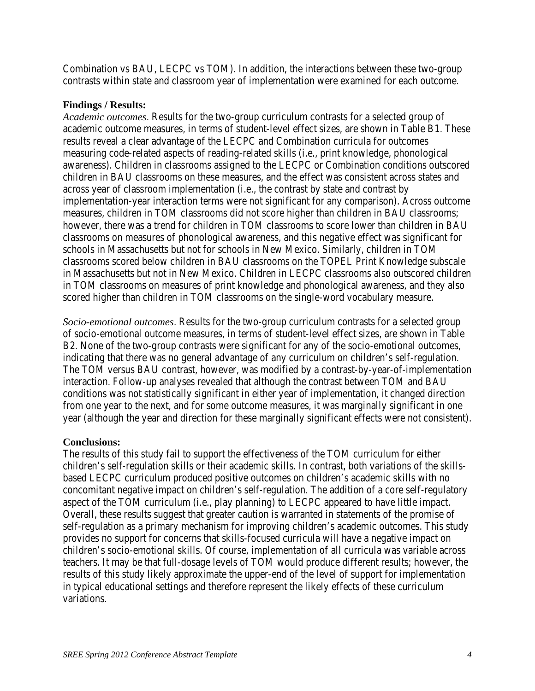Combination vs BAU, LECPC vs TOM). In addition, the interactions between these two-group contrasts within state and classroom year of implementation were examined for each outcome.

#### **Findings / Results:**

*Academic outcomes*. Results for the two-group curriculum contrasts for a selected group of academic outcome measures, in terms of student-level effect sizes, are shown in Table B1. These results reveal a clear advantage of the LECPC and Combination curricula for outcomes measuring code-related aspects of reading-related skills (i.e., print knowledge, phonological awareness). Children in classrooms assigned to the LECPC or Combination conditions outscored children in BAU classrooms on these measures, and the effect was consistent across states and across year of classroom implementation (i.e., the contrast by state and contrast by implementation-year interaction terms were not significant for any comparison). Across outcome measures, children in TOM classrooms did not score higher than children in BAU classrooms; however, there was a trend for children in TOM classrooms to score lower than children in BAU classrooms on measures of phonological awareness, and this negative effect was significant for schools in Massachusetts but not for schools in New Mexico. Similarly, children in TOM classrooms scored below children in BAU classrooms on the TOPEL Print Knowledge subscale in Massachusetts but not in New Mexico. Children in LECPC classrooms also outscored children in TOM classrooms on measures of print knowledge and phonological awareness, and they also scored higher than children in TOM classrooms on the single-word vocabulary measure.

*Socio-emotional outcomes*. Results for the two-group curriculum contrasts for a selected group of socio-emotional outcome measures, in terms of student-level effect sizes, are shown in Table B2. None of the two-group contrasts were significant for any of the socio-emotional outcomes, indicating that there was no general advantage of any curriculum on children's self-regulation. The TOM versus BAU contrast, however, was modified by a contrast-by-year-of-implementation interaction. Follow-up analyses revealed that although the contrast between TOM and BAU conditions was not statistically significant in either year of implementation, it changed direction from one year to the next, and for some outcome measures, it was marginally significant in one year (although the year and direction for these marginally significant effects were not consistent).

#### **Conclusions:**

The results of this study fail to support the effectiveness of the TOM curriculum for either children's self-regulation skills or their academic skills. In contrast, both variations of the skillsbased LECPC curriculum produced positive outcomes on children's academic skills with no concomitant negative impact on children's self-regulation. The addition of a core self-regulatory aspect of the TOM curriculum (i.e., play planning) to LECPC appeared to have little impact. Overall, these results suggest that greater caution is warranted in statements of the promise of self-regulation as a primary mechanism for improving children's academic outcomes. This study provides no support for concerns that skills-focused curricula will have a negative impact on children's socio-emotional skills. Of course, implementation of all curricula was variable across teachers. It may be that full-dosage levels of TOM would produce different results; however, the results of this study likely approximate the upper-end of the level of support for implementation in typical educational settings and therefore represent the likely effects of these curriculum variations.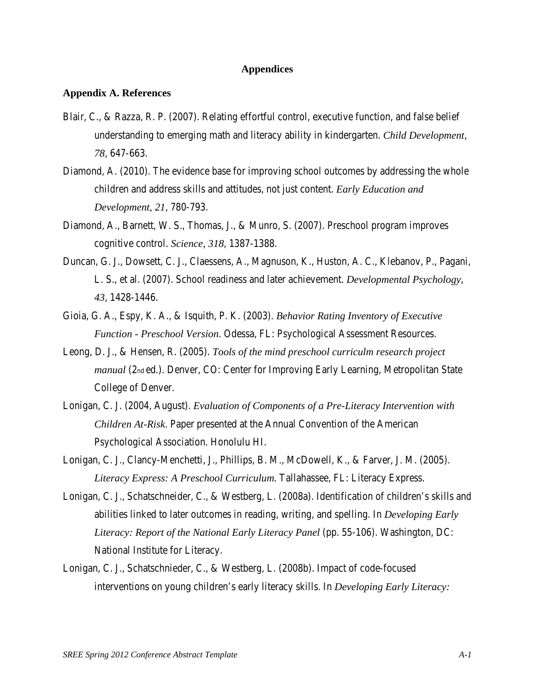#### **Appendices**

#### **Appendix A. References**

- Blair, C., & Razza, R. P. (2007). Relating effortful control, executive function, and false belief understanding to emerging math and literacy ability in kindergarten. *Child Development*, *78*, 647-663.
- Diamond, A. (2010). The evidence base for improving school outcomes by addressing the whole children and address skills and attitudes, not just content. *Early Education and Development, 21*, 780-793.
- Diamond, A., Barnett, W. S., Thomas, J., & Munro, S. (2007). Preschool program improves cognitive control. *Science, 318*, 1387-1388.
- Duncan, G. J., Dowsett, C. J., Claessens, A., Magnuson, K., Huston, A. C., Klebanov, P., Pagani, L. S., et al. (2007). School readiness and later achievement. *Developmental Psychology*, *43*, 1428-1446.
- Gioia, G. A., Espy, K. A., & Isquith, P. K. (2003). *Behavior Rating Inventory of Executive Function - Preschool Version*. Odessa, FL: Psychological Assessment Resources.
- Leong, D. J., & Hensen, R. (2005). *Tools of the mind preschool curriculm research project manual* (2nd ed.). Denver, CO: Center for Improving Early Learning, Metropolitan State College of Denver.
- Lonigan, C. J. (2004, August). *Evaluation of Components of a Pre-Literacy Intervention with Children At-Risk*. Paper presented at the Annual Convention of the American Psychological Association. Honolulu HI.
- Lonigan, C. J., Clancy-Menchetti, J., Phillips, B. M., McDowell, K., & Farver, J. M. (2005). *Literacy Express: A Preschool Curriculum.* Tallahassee, FL: Literacy Express.
- Lonigan, C. J., Schatschneider, C., & Westberg, L. (2008a). Identification of children's skills and abilities linked to later outcomes in reading, writing, and spelling. In *Developing Early Literacy: Report of the National Early Literacy Panel* (pp. 55-106). Washington, DC: National Institute for Literacy.
- Lonigan, C. J., Schatschnieder, C., & Westberg, L. (2008b). Impact of code-focused interventions on young children's early literacy skills. In *Developing Early Literacy:*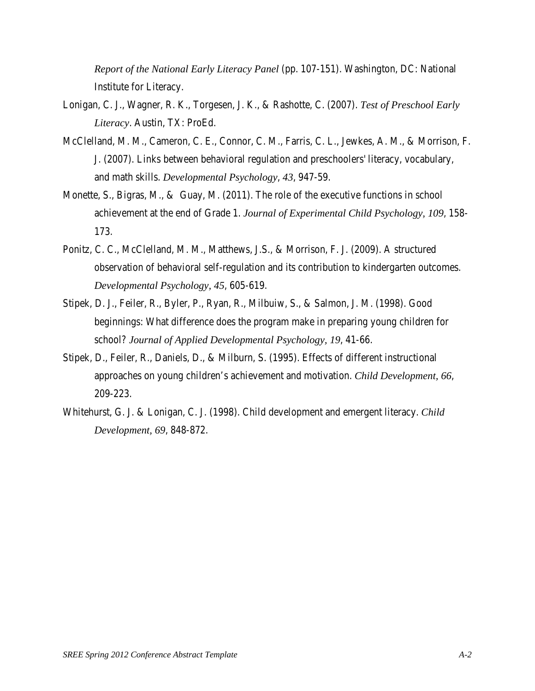*Report of the National Early Literacy Panel* (pp. 107-151). Washington, DC: National Institute for Literacy.

- Lonigan, C. J., Wagner, R. K., Torgesen, J. K., & Rashotte, C. (2007). *Test of Preschool Early Literacy*. Austin, TX: ProEd.
- McClelland, M. M., Cameron, C. E., Connor, C. M., Farris, C. L., Jewkes, A. M., & Morrison, F. J. (2007). Links between behavioral regulation and preschoolers' literacy, vocabulary, and math skills. *Developmental Psychology*, *43*, 947-59.
- Monette, S., Bigras, M., & Guay, M. (2011). The role of the executive functions in school achievement at the end of Grade 1. *Journal of Experimental Child Psychology, 109*, 158- 173.
- Ponitz, C. C., McClelland, M. M., Matthews, J.S., & Morrison, F. J. (2009). A structured observation of behavioral self-regulation and its contribution to kindergarten outcomes. *Developmental Psychology, 45*, 605-619.
- Stipek, D. J., Feiler, R., Byler, P., Ryan, R., Milbuiw, S., & Salmon, J. M. (1998). Good beginnings: What difference does the program make in preparing young children for school? *Journal of Applied Developmental Psychology, 19*, 41-66.
- Stipek, D., Feiler, R., Daniels, D., & Milburn, S. (1995). Effects of different instructional approaches on young children's achievement and motivation. *Child Development, 66*, 209-223.
- Whitehurst, G. J. & Lonigan, C. J. (1998). Child development and emergent literacy. *Child Development, 69*, 848-872.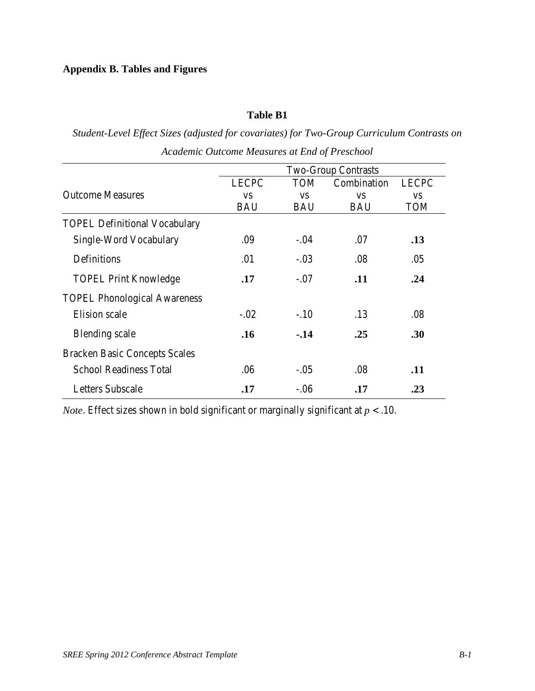# **Appendix B. Tables and Figures**

#### **Table B1**

*Student-Level Effect Sizes (adjusted for covariates) for Two-Group Curriculum Contrasts on Academic Outcome Measures at End of Preschool* 

|                                      | <b>Two-Group Contrasts</b> |            |             |              |  |  |  |  |
|--------------------------------------|----------------------------|------------|-------------|--------------|--|--|--|--|
|                                      | <b>LECPC</b>               | <b>TOM</b> | Combination | <b>LECPC</b> |  |  |  |  |
| <b>Outcome Measures</b>              | <b>VS</b>                  | <b>VS</b>  | <b>VS</b>   | <b>VS</b>    |  |  |  |  |
|                                      | <b>BAU</b>                 | <b>BAU</b> | <b>BAU</b>  | <b>TOM</b>   |  |  |  |  |
| <b>TOPEL Definitional Vocabulary</b> |                            |            |             |              |  |  |  |  |
| Single-Word Vocabulary               | .09                        | $-.04$     | .07         | .13          |  |  |  |  |
| Definitions                          | .01                        | $-.03$     | .08         | .05          |  |  |  |  |
| <b>TOPEL Print Knowledge</b>         | .17                        | $-.07$     | .11         | .24          |  |  |  |  |
| <b>TOPEL Phonological Awareness</b>  |                            |            |             |              |  |  |  |  |
| Elision scale                        | $-.02$                     | $-.10$     | .13         | .08          |  |  |  |  |
| <b>Blending</b> scale                | .16                        | $-.14$     | .25         | .30          |  |  |  |  |
| <b>Bracken Basic Concepts Scales</b> |                            |            |             |              |  |  |  |  |
| <b>School Readiness Total</b>        | .06                        | $-.05$     | .08         | .11          |  |  |  |  |
| <b>Letters Subscale</b>              | .17                        | $-.06$     | .17         | .23          |  |  |  |  |

*Note*. Effect sizes shown in bold significant or marginally significant at *p* < .10.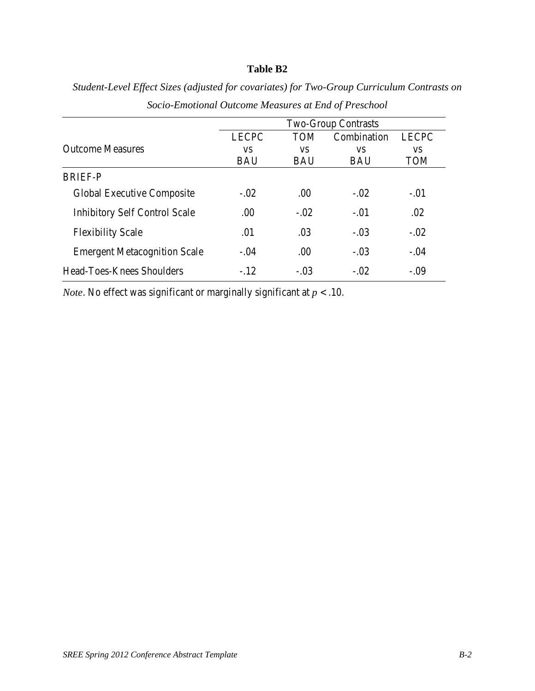# **Table B2**

|                                      | <b>Two-Group Contrasts</b> |            |             |              |  |  |  |
|--------------------------------------|----------------------------|------------|-------------|--------------|--|--|--|
|                                      | <b>LECPC</b>               | <b>TOM</b> | Combination | <b>LECPC</b> |  |  |  |
| <b>Outcome Measures</b>              | VS.                        | <b>VS</b>  | VS          | VS.          |  |  |  |
|                                      | <b>BAU</b>                 | <b>BAU</b> | <b>BAU</b>  | <b>TOM</b>   |  |  |  |
| <b>BRIEF-P</b>                       |                            |            |             |              |  |  |  |
| <b>Global Executive Composite</b>    | $-.02$                     | .00.       | $-.02$      | $-.01$       |  |  |  |
| <b>Inhibitory Self Control Scale</b> | .00                        | $-.02$     | $-.01$      | .02          |  |  |  |
| <b>Flexibility Scale</b>             | .01                        | .03        | $-.03$      | $-.02$       |  |  |  |
| <b>Emergent Metacognition Scale</b>  | $-.04$                     | .00        | $-.03$      | $-.04$       |  |  |  |
| Head-Toes-Knees Shoulders            | $-.12$                     | $-.03$     | $-.02$      | $-.09$       |  |  |  |

*Student-Level Effect Sizes (adjusted for covariates) for Two-Group Curriculum Contrasts on Socio-Emotional Outcome Measures at End of Preschool* 

*Note*. No effect was significant or marginally significant at  $p < .10$ .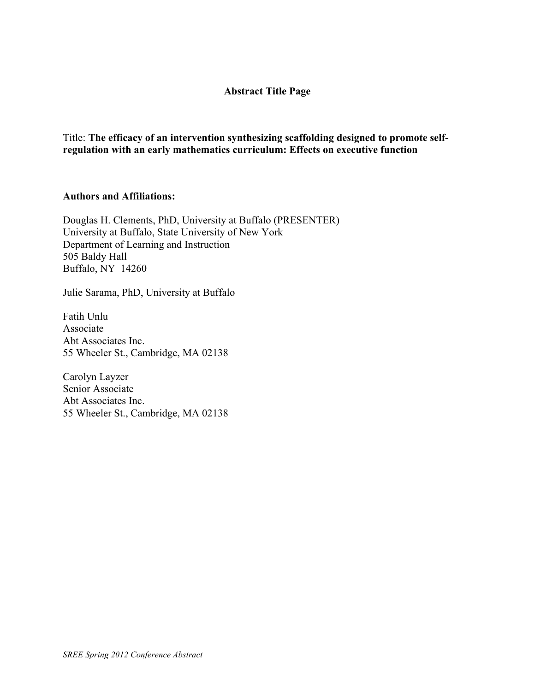#### **Abstract Title Page**

Title: **The efficacy of an intervention synthesizing scaffolding designed to promote selfregulation with an early mathematics curriculum: Effects on executive function**

#### **Authors and Affiliations:**

Douglas H. Clements, PhD, University at Buffalo (PRESENTER) University at Buffalo, State University of New York Department of Learning and Instruction 505 Baldy Hall Buffalo, NY 14260

Julie Sarama, PhD, University at Buffalo

Fatih Unlu Associate Abt Associates Inc. 55 Wheeler St., Cambridge, MA 02138

Carolyn Layzer Senior Associate Abt Associates Inc. 55 Wheeler St., Cambridge, MA 02138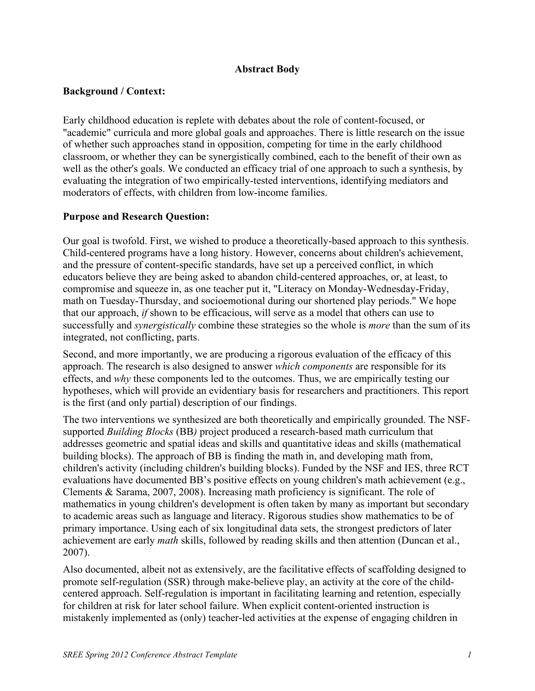### **Abstract Body**

#### **Background / Context:**

Early childhood education is replete with debates about the role of content-focused, or "academic" curricula and more global goals and approaches. There is little research on the issue of whether such approaches stand in opposition, competing for time in the early childhood classroom, or whether they can be synergistically combined, each to the benefit of their own as well as the other's goals. We conducted an efficacy trial of one approach to such a synthesis, by evaluating the integration of two empirically-tested interventions, identifying mediators and moderators of effects, with children from low-income families.

### **Purpose and Research Question:**

Our goal is twofold. First, we wished to produce a theoretically-based approach to this synthesis. Child-centered programs have a long history. However, concerns about children's achievement, and the pressure of content-specific standards, have set up a perceived conflict, in which educators believe they are being asked to abandon child-centered approaches, or, at least, to compromise and squeeze in, as one teacher put it, "Literacy on Monday-Wednesday-Friday, math on Tuesday-Thursday, and socioemotional during our shortened play periods." We hope that our approach, *if* shown to be efficacious, will serve as a model that others can use to successfully and *synergistically* combine these strategies so the whole is *more* than the sum of its integrated, not conflicting, parts.

Second, and more importantly, we are producing a rigorous evaluation of the efficacy of this approach. The research is also designed to answer *which components* are responsible for its effects, and *why* these components led to the outcomes. Thus, we are empirically testing our hypotheses, which will provide an evidentiary basis for researchers and practitioners. This report is the first (and only partial) description of our findings.

The two interventions we synthesized are both theoretically and empirically grounded. The NSFsupported *Building Blocks* (BB*)* project produced a research-based math curriculum that addresses geometric and spatial ideas and skills and quantitative ideas and skills (mathematical building blocks). The approach of BB is finding the math in, and developing math from, children's activity (including children's building blocks). Funded by the NSF and IES, three RCT evaluations have documented BB's positive effects on young children's math achievement (e.g., Clements & Sarama, 2007, 2008). Increasing math proficiency is significant. The role of mathematics in young children's development is often taken by many as important but secondary to academic areas such as language and literacy. Rigorous studies show mathematics to be of primary importance. Using each of six longitudinal data sets, the strongest predictors of later achievement are early *math* skills, followed by reading skills and then attention (Duncan et al., 2007).

Also documented, albeit not as extensively, are the facilitative effects of scaffolding designed to promote self-regulation (SSR) through make-believe play, an activity at the core of the childcentered approach. Self-regulation is important in facilitating learning and retention, especially for children at risk for later school failure. When explicit content-oriented instruction is mistakenly implemented as (only) teacher-led activities at the expense of engaging children in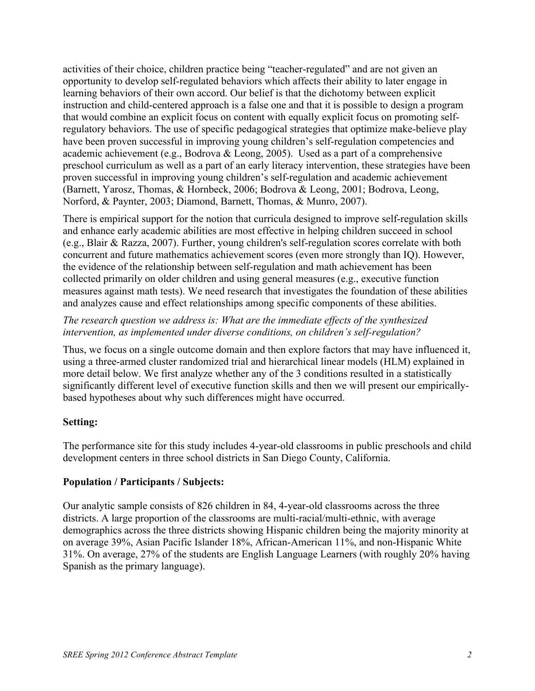activities of their choice, children practice being "teacher-regulated" and are not given an opportunity to develop self-regulated behaviors which affects their ability to later engage in learning behaviors of their own accord. Our belief is that the dichotomy between explicit instruction and child-centered approach is a false one and that it is possible to design a program that would combine an explicit focus on content with equally explicit focus on promoting selfregulatory behaviors. The use of specific pedagogical strategies that optimize make-believe play have been proven successful in improving young children's self-regulation competencies and academic achievement (e.g., Bodrova & Leong, 2005). Used as a part of a comprehensive preschool curriculum as well as a part of an early literacy intervention, these strategies have been proven successful in improving young children's self-regulation and academic achievement (Barnett, Yarosz, Thomas, & Hornbeck, 2006; Bodrova & Leong, 2001; Bodrova, Leong, Norford, & Paynter, 2003; Diamond, Barnett, Thomas, & Munro, 2007).

There is empirical support for the notion that curricula designed to improve self-regulation skills and enhance early academic abilities are most effective in helping children succeed in school (e.g., Blair & Razza, 2007). Further, young children's self-regulation scores correlate with both concurrent and future mathematics achievement scores (even more strongly than IQ). However, the evidence of the relationship between self-regulation and math achievement has been collected primarily on older children and using general measures (e.g., executive function measures against math tests). We need research that investigates the foundation of these abilities and analyzes cause and effect relationships among specific components of these abilities.

### *The research question we address is: What are the immediate effects of the synthesized intervention, as implemented under diverse conditions, on children's self-regulation?*

Thus, we focus on a single outcome domain and then explore factors that may have influenced it, using a three-armed cluster randomized trial and hierarchical linear models (HLM) explained in more detail below. We first analyze whether any of the 3 conditions resulted in a statistically significantly different level of executive function skills and then we will present our empiricallybased hypotheses about why such differences might have occurred.

### **Setting:**

The performance site for this study includes 4-year-old classrooms in public preschools and child development centers in three school districts in San Diego County, California.

# **Population / Participants / Subjects:**

Our analytic sample consists of 826 children in 84, 4-year-old classrooms across the three districts. A large proportion of the classrooms are multi-racial/multi-ethnic, with average demographics across the three districts showing Hispanic children being the majority minority at on average 39%, Asian Pacific Islander 18%, African-American 11%, and non-Hispanic White 31%. On average, 27% of the students are English Language Learners (with roughly 20% having Spanish as the primary language).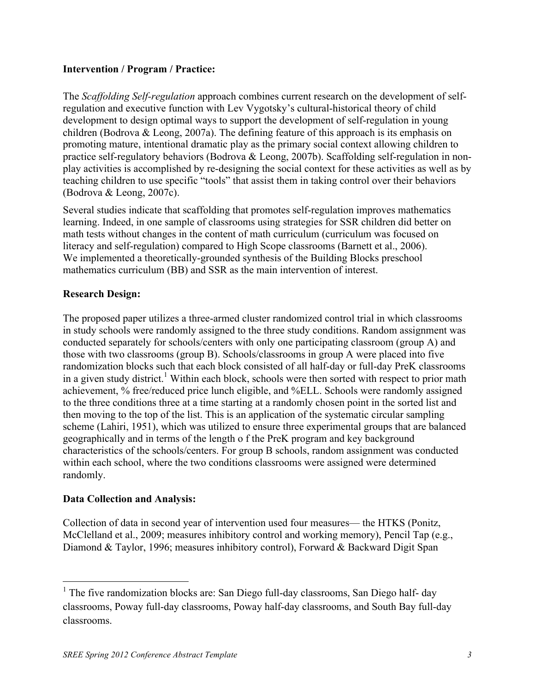### **Intervention / Program / Practice:**

The *Scaffolding Self-regulation* approach combines current research on the development of selfregulation and executive function with Lev Vygotsky's cultural-historical theory of child development to design optimal ways to support the development of self-regulation in young children (Bodrova & Leong, 2007a). The defining feature of this approach is its emphasis on promoting mature, intentional dramatic play as the primary social context allowing children to practice self-regulatory behaviors (Bodrova & Leong, 2007b). Scaffolding self-regulation in nonplay activities is accomplished by re-designing the social context for these activities as well as by teaching children to use specific "tools" that assist them in taking control over their behaviors (Bodrova & Leong, 2007c).

Several studies indicate that scaffolding that promotes self-regulation improves mathematics learning. Indeed, in one sample of classrooms using strategies for SSR children did better on math tests without changes in the content of math curriculum (curriculum was focused on literacy and self-regulation) compared to High Scope classrooms (Barnett et al., 2006). We implemented a theoretically-grounded synthesis of the Building Blocks preschool mathematics curriculum (BB) and SSR as the main intervention of interest.

### **Research Design:**

The proposed paper utilizes a three-armed cluster randomized control trial in which classrooms in study schools were randomly assigned to the three study conditions. Random assignment was conducted separately for schools/centers with only one participating classroom (group A) and those with two classrooms (group B). Schools/classrooms in group A were placed into five randomization blocks such that each block consisted of all half-day or full-day PreK classrooms in a given study district.<sup>1</sup> Within each block, schools were then sorted with respect to prior math achievement, % free/reduced price lunch eligible, and %ELL. Schools were randomly assigned to the three conditions three at a time starting at a randomly chosen point in the sorted list and then moving to the top of the list. This is an application of the systematic circular sampling scheme (Lahiri, 1951), which was utilized to ensure three experimental groups that are balanced geographically and in terms of the length o f the PreK program and key background characteristics of the schools/centers. For group B schools, random assignment was conducted within each school, where the two conditions classrooms were assigned were determined randomly.

### **Data Collection and Analysis:**

Collection of data in second year of intervention used four measures— the HTKS (Ponitz, McClelland et al., 2009; measures inhibitory control and working memory), Pencil Tap (e.g., Diamond & Taylor, 1996; measures inhibitory control), Forward & Backward Digit Span

 $1$  The five randomization blocks are: San Diego full-day classrooms, San Diego half- day classrooms, Poway full-day classrooms, Poway half-day classrooms, and South Bay full-day classrooms.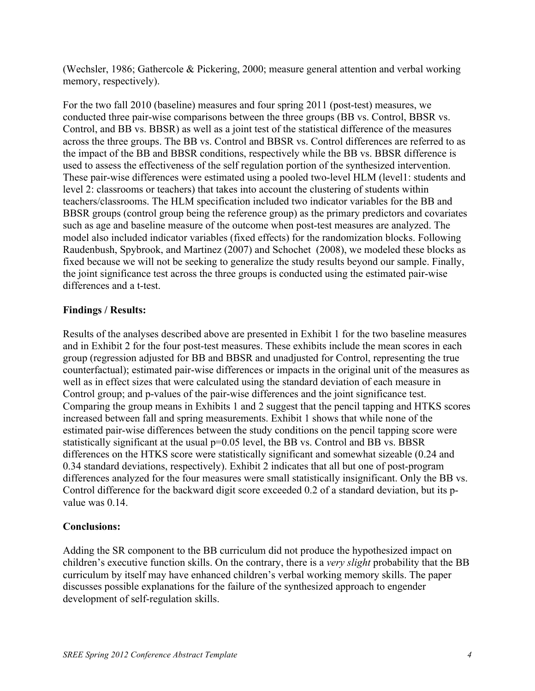(Wechsler, 1986; Gathercole & Pickering, 2000; measure general attention and verbal working memory, respectively).

For the two fall 2010 (baseline) measures and four spring 2011 (post-test) measures, we conducted three pair-wise comparisons between the three groups (BB vs. Control, BBSR vs. Control, and BB vs. BBSR) as well as a joint test of the statistical difference of the measures across the three groups. The BB vs. Control and BBSR vs. Control differences are referred to as the impact of the BB and BBSR conditions, respectively while the BB vs. BBSR difference is used to assess the effectiveness of the self regulation portion of the synthesized intervention. These pair-wise differences were estimated using a pooled two-level HLM (level1: students and level 2: classrooms or teachers) that takes into account the clustering of students within teachers/classrooms. The HLM specification included two indicator variables for the BB and BBSR groups (control group being the reference group) as the primary predictors and covariates such as age and baseline measure of the outcome when post-test measures are analyzed. The model also included indicator variables (fixed effects) for the randomization blocks. Following Raudenbush, Spybrook, and Martinez (2007) and Schochet (2008), we modeled these blocks as fixed because we will not be seeking to generalize the study results beyond our sample. Finally, the joint significance test across the three groups is conducted using the estimated pair-wise differences and a t-test.

### **Findings / Results:**

Results of the analyses described above are presented in Exhibit 1 for the two baseline measures and in Exhibit 2 for the four post-test measures. These exhibits include the mean scores in each group (regression adjusted for BB and BBSR and unadjusted for Control, representing the true counterfactual); estimated pair-wise differences or impacts in the original unit of the measures as well as in effect sizes that were calculated using the standard deviation of each measure in Control group; and p-values of the pair-wise differences and the joint significance test. Comparing the group means in Exhibits 1 and 2 suggest that the pencil tapping and HTKS scores increased between fall and spring measurements. Exhibit 1 shows that while none of the estimated pair-wise differences between the study conditions on the pencil tapping score were statistically significant at the usual p=0.05 level, the BB vs. Control and BB vs. BBSR differences on the HTKS score were statistically significant and somewhat sizeable (0.24 and 0.34 standard deviations, respectively). Exhibit 2 indicates that all but one of post-program differences analyzed for the four measures were small statistically insignificant. Only the BB vs. Control difference for the backward digit score exceeded 0.2 of a standard deviation, but its pvalue was 0.14

### **Conclusions:**

Adding the SR component to the BB curriculum did not produce the hypothesized impact on children's executive function skills. On the contrary, there is a *very slight* probability that the BB curriculum by itself may have enhanced children's verbal working memory skills. The paper discusses possible explanations for the failure of the synthesized approach to engender development of self-regulation skills.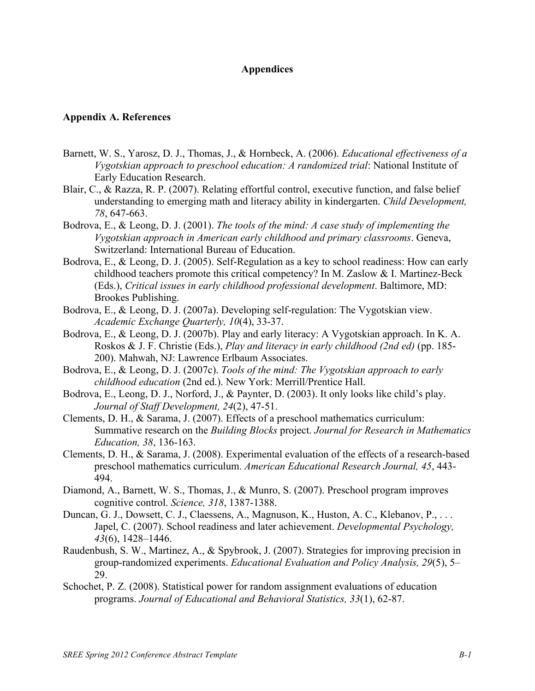#### **Appendices**

#### **Appendix A. References**

- Barnett, W. S., Yarosz, D. J., Thomas, J., & Hornbeck, A. (2006). *Educational effectiveness of a Vygotskian approach to preschool education: A randomized trial*: National Institute of Early Education Research.
- Blair, C., & Razza, R. P. (2007). Relating effortful control, executive function, and false belief understanding to emerging math and literacy ability in kindergarten. *Child Development, 78*, 647-663.
- Bodrova, E., & Leong, D. J. (2001). *The tools of the mind: A case study of implementing the Vygotskian approach in American early childhood and primary classrooms*. Geneva, Switzerland: International Bureau of Education.
- Bodrova, E., & Leong, D. J. (2005). Self-Regulation as a key to school readiness: How can early childhood teachers promote this critical competency? In M. Zaslow & I. Martinez-Beck (Eds.), *Critical issues in early childhood professional development*. Baltimore, MD: Brookes Publishing.
- Bodrova, E., & Leong, D. J. (2007a). Developing self-regulation: The Vygotskian view. *Academic Exchange Quarterly, 10*(4), 33-37.
- Bodrova, E., & Leong, D. J. (2007b). Play and early literacy: A Vygotskian approach. In K. A. Roskos & J. F. Christie (Eds.), *Play and literacy in early childhood (2nd ed)* (pp. 185- 200). Mahwah, NJ: Lawrence Erlbaum Associates.
- Bodrova, E., & Leong, D. J. (2007c). *Tools of the mind: The Vygotskian approach to early childhood education* (2nd ed.). New York: Merrill/Prentice Hall.
- Bodrova, E., Leong, D. J., Norford, J., & Paynter, D. (2003). It only looks like child's play. *Journal of Staff Development, 24*(2), 47-51.
- Clements, D. H., & Sarama, J. (2007). Effects of a preschool mathematics curriculum: Summative research on the *Building Blocks* project. *Journal for Research in Mathematics Education, 38*, 136-163.
- Clements, D. H., & Sarama, J. (2008). Experimental evaluation of the effects of a research-based preschool mathematics curriculum. *American Educational Research Journal, 45*, 443- 494.
- Diamond, A., Barnett, W. S., Thomas, J., & Munro, S. (2007). Preschool program improves cognitive control. *Science, 318*, 1387-1388.
- Duncan, G. J., Dowsett, C. J., Claessens, A., Magnuson, K., Huston, A. C., Klebanov, P., ... Japel, C. (2007). School readiness and later achievement. *Developmental Psychology, 43*(6), 1428–1446.
- Raudenbush, S. W., Martinez, A., & Spybrook, J. (2007). Strategies for improving precision in group-randomized experiments. *Educational Evaluation and Policy Analysis, 29*(5), 5– 29.
- Schochet, P. Z. (2008). Statistical power for random assignment evaluations of education programs. *Journal of Educational and Behavioral Statistics, 33*(1), 62-87.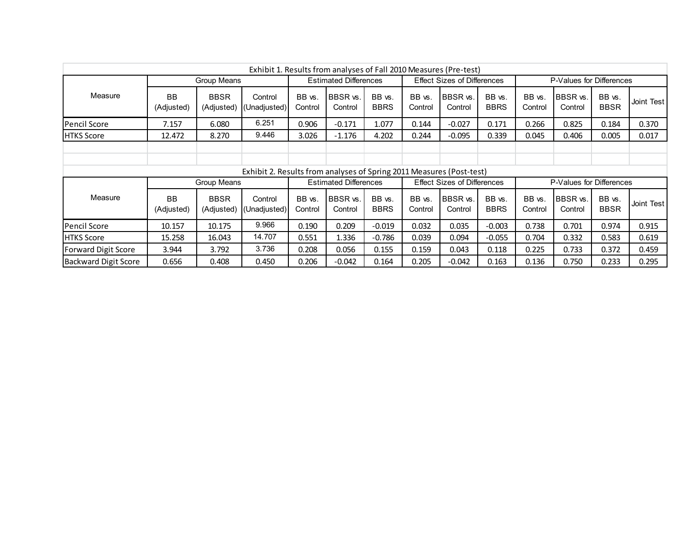| Exhibit 1. Results from analyses of Fall 2010 Measures (Pre-test) |                         |                           |                                                                      |                              |                              |                                    |                   |                                    |                          |                   |                            |                       |              |
|-------------------------------------------------------------------|-------------------------|---------------------------|----------------------------------------------------------------------|------------------------------|------------------------------|------------------------------------|-------------------|------------------------------------|--------------------------|-------------------|----------------------------|-----------------------|--------------|
| Group Means                                                       |                         |                           |                                                                      | <b>Estimated Differences</b> |                              | <b>Effect Sizes of Differences</b> |                   |                                    | P-Values for Differences |                   |                            |                       |              |
| Measure                                                           | <b>BB</b><br>(Adjusted) | <b>BBSR</b><br>(Adjusted) | Control<br>(Unadjusted)                                              | BB vs.<br>Control            | BBSR vs.<br>Control          | BB vs.<br><b>BBRS</b>              | BB vs.<br>Control | BBSR vs.<br>Control                | BB vs.<br><b>BBRS</b>    | BB vs.<br>Control | BBSR vs.<br>Control        | BB vs.<br><b>BBSR</b> | Joint Test   |
| <b>Pencil Score</b>                                               | 7.157                   | 6.080                     | 6.251                                                                | 0.906                        | $-0.171$                     | 1.077                              | 0.144             | $-0.027$                           | 0.171                    | 0.266             | 0.825                      | 0.184                 | 0.370        |
| <b>HTKS Score</b>                                                 | 12.472                  | 8.270                     | 9.446                                                                | 3.026                        | $-1.176$                     | 4.202                              | 0.244             | $-0.095$                           | 0.339                    | 0.045             | 0.406                      | 0.005                 | 0.017        |
|                                                                   |                         |                           |                                                                      |                              |                              |                                    |                   |                                    |                          |                   |                            |                       |              |
|                                                                   |                         |                           |                                                                      |                              |                              |                                    |                   |                                    |                          |                   |                            |                       |              |
|                                                                   |                         |                           | Exhibit 2. Results from analyses of Spring 2011 Measures (Post-test) |                              |                              |                                    |                   |                                    |                          |                   |                            |                       |              |
|                                                                   |                         | Group Means               |                                                                      |                              | <b>Estimated Differences</b> |                                    |                   | <b>Effect Sizes of Differences</b> |                          |                   | P-Values for Differences   |                       |              |
| Measure                                                           | <b>BB</b><br>(Adjusted) | <b>BBSR</b><br>(Adjusted) | Control<br>(Unadjusted)                                              | BB vs.<br>Control            | BBSR vs.<br>Control          | BB vs.<br><b>BBRS</b>              | BB vs.<br>Control | <b>BBSR</b> vs.<br>Control         | BB vs.<br><b>BBRS</b>    | BB vs.<br>Control | <b>BBSR</b> vs.<br>Control | BB vs.<br><b>BBSR</b> | Joint Test I |
| <b>Pencil Score</b>                                               | 10.157                  | 10.175                    | 9.966                                                                | 0.190                        | 0.209                        | $-0.019$                           | 0.032             | 0.035                              | $-0.003$                 | 0.738             | 0.701                      | 0.974                 | 0.915        |
| <b>HTKS Score</b>                                                 | 15.258                  | 16.043                    | 14.707                                                               | 0.551                        | 1.336                        | $-0.786$                           | 0.039             | 0.094                              | $-0.055$                 | 0.704             | 0.332                      | 0.583                 | 0.619        |
| <b>Forward Digit Score</b>                                        | 3.944                   | 3.792                     | 3.736                                                                | 0.208                        | 0.056                        | 0.155                              | 0.159             | 0.043                              | 0.118                    | 0.225             | 0.733                      | 0.372                 | 0.459        |
| Backward Digit Score                                              | 0.656                   | 0.408                     | 0.450                                                                | 0.206                        | $-0.042$                     | 0.164                              | 0.205             | $-0.042$                           | 0.163                    | 0.136             | 0.750                      | 0.233                 | 0.295        |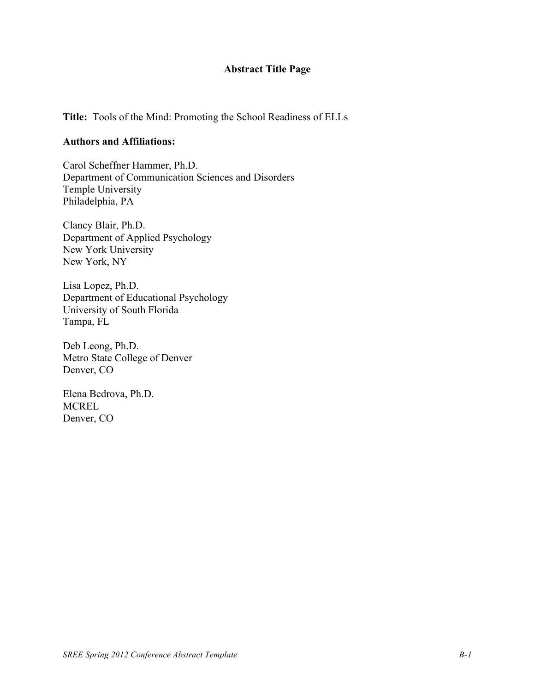# **Abstract Title Page**

**Title:** Tools of the Mind: Promoting the School Readiness of ELLs

#### **Authors and Affiliations:**

Carol Scheffner Hammer, Ph.D. Department of Communication Sciences and Disorders Temple University Philadelphia, PA

Clancy Blair, Ph.D. Department of Applied Psychology New York University New York, NY

Lisa Lopez, Ph.D. Department of Educational Psychology University of South Florida Tampa, FL

Deb Leong, Ph.D. Metro State College of Denver Denver, CO

Elena Bedrova, Ph.D. **MCREL** Denver, CO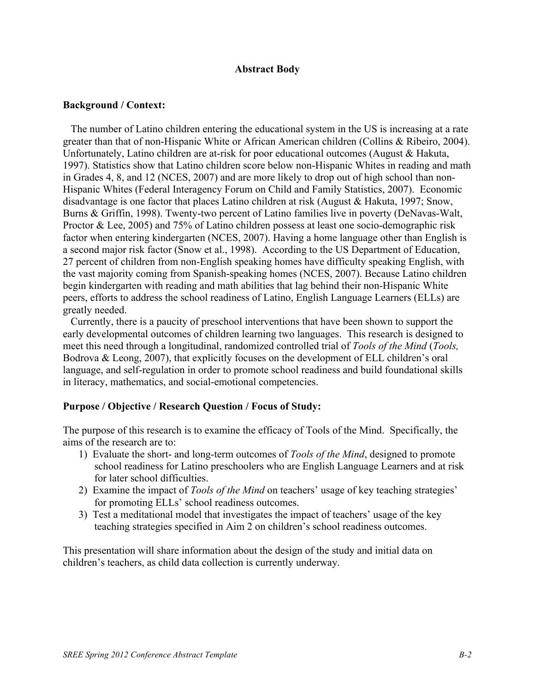#### **Abstract Body**

#### **Background / Context:**

The number of Latino children entering the educational system in the US is increasing at a rate greater than that of non-Hispanic White or African American children (Collins & Ribeiro, 2004). Unfortunately, Latino children are at-risk for poor educational outcomes (August & Hakuta, 1997). Statistics show that Latino children score below non-Hispanic Whites in reading and math in Grades 4, 8, and 12 (NCES, 2007) and are more likely to drop out of high school than non-Hispanic Whites (Federal Interagency Forum on Child and Family Statistics, 2007). Economic disadvantage is one factor that places Latino children at risk (August & Hakuta, 1997; Snow, Burns & Griffin, 1998). Twenty-two percent of Latino families live in poverty (DeNavas-Walt, Proctor & Lee, 2005) and 75% of Latino children possess at least one socio-demographic risk factor when entering kindergarten (NCES, 2007). Having a home language other than English is a second major risk factor (Snow et al., 1998). According to the US Department of Education, 27 percent of children from non-English speaking homes have difficulty speaking English, with the vast majority coming from Spanish-speaking homes (NCES, 2007). Because Latino children begin kindergarten with reading and math abilities that lag behind their non-Hispanic White peers, efforts to address the school readiness of Latino, English Language Learners (ELLs) are greatly needed.

Currently, there is a paucity of preschool interventions that have been shown to support the early developmental outcomes of children learning two languages. This research is designed to meet this need through a longitudinal, randomized controlled trial of *Tools of the Mind* (*Tools,*  Bodrova & Leong, 2007), that explicitly focuses on the development of ELL children's oral language, and self-regulation in order to promote school readiness and build foundational skills in literacy, mathematics, and social-emotional competencies.

#### **Purpose / Objective / Research Question / Focus of Study:**

The purpose of this research is to examine the efficacy of Tools of the Mind. Specifically, the aims of the research are to:

- 1) Evaluate the short- and long-term outcomes of *Tools of the Mind*, designed to promote school readiness for Latino preschoolers who are English Language Learners and at risk for later school difficulties.
- 2) Examine the impact of *Tools of the Mind* on teachers' usage of key teaching strategies' for promoting ELLs' school readiness outcomes.
- 3) Test a meditational model that investigates the impact of teachers' usage of the key teaching strategies specified in Aim 2 on children's school readiness outcomes.

This presentation will share information about the design of the study and initial data on children's teachers, as child data collection is currently underway.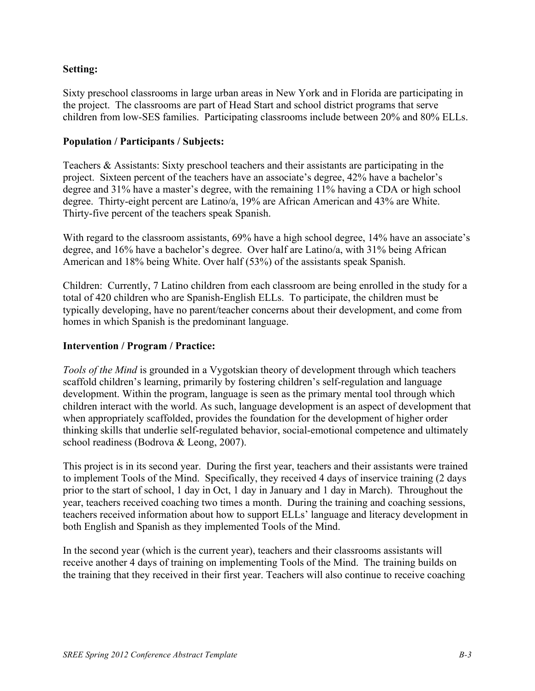### **Setting:**

Sixty preschool classrooms in large urban areas in New York and in Florida are participating in the project. The classrooms are part of Head Start and school district programs that serve children from low-SES families. Participating classrooms include between 20% and 80% ELLs.

#### **Population / Participants / Subjects:**

Teachers & Assistants: Sixty preschool teachers and their assistants are participating in the project. Sixteen percent of the teachers have an associate's degree, 42% have a bachelor's degree and 31% have a master's degree, with the remaining 11% having a CDA or high school degree. Thirty-eight percent are Latino/a, 19% are African American and 43% are White. Thirty-five percent of the teachers speak Spanish.

With regard to the classroom assistants, 69% have a high school degree, 14% have an associate's degree, and 16% have a bachelor's degree. Over half are Latino/a, with 31% being African American and 18% being White. Over half (53%) of the assistants speak Spanish.

Children: Currently, 7 Latino children from each classroom are being enrolled in the study for a total of 420 children who are Spanish-English ELLs. To participate, the children must be typically developing, have no parent/teacher concerns about their development, and come from homes in which Spanish is the predominant language.

#### **Intervention / Program / Practice:**

*Tools of the Mind* is grounded in a Vygotskian theory of development through which teachers scaffold children's learning, primarily by fostering children's self-regulation and language development. Within the program, language is seen as the primary mental tool through which children interact with the world. As such, language development is an aspect of development that when appropriately scaffolded, provides the foundation for the development of higher order thinking skills that underlie self-regulated behavior, social-emotional competence and ultimately school readiness (Bodrova & Leong, 2007).

This project is in its second year. During the first year, teachers and their assistants were trained to implement Tools of the Mind. Specifically, they received 4 days of inservice training (2 days prior to the start of school, 1 day in Oct, 1 day in January and 1 day in March). Throughout the year, teachers received coaching two times a month. During the training and coaching sessions, teachers received information about how to support ELLs' language and literacy development in both English and Spanish as they implemented Tools of the Mind.

In the second year (which is the current year), teachers and their classrooms assistants will receive another 4 days of training on implementing Tools of the Mind. The training builds on the training that they received in their first year. Teachers will also continue to receive coaching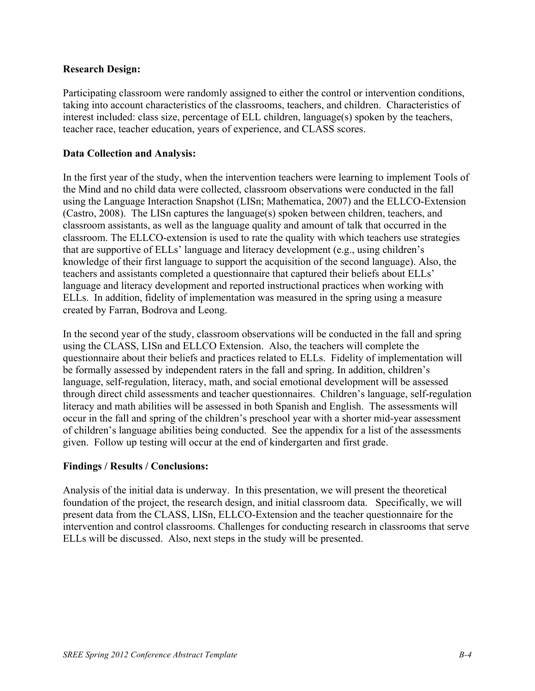#### **Research Design:**

Participating classroom were randomly assigned to either the control or intervention conditions, taking into account characteristics of the classrooms, teachers, and children. Characteristics of interest included: class size, percentage of ELL children, language(s) spoken by the teachers, teacher race, teacher education, years of experience, and CLASS scores.

#### **Data Collection and Analysis:**

In the first year of the study, when the intervention teachers were learning to implement Tools of the Mind and no child data were collected, classroom observations were conducted in the fall using the Language Interaction Snapshot (LISn; Mathematica, 2007) and the ELLCO-Extension (Castro, 2008). The LISn captures the language(s) spoken between children, teachers, and classroom assistants, as well as the language quality and amount of talk that occurred in the classroom. The ELLCO-extension is used to rate the quality with which teachers use strategies that are supportive of ELLs' language and literacy development (e.g., using children's knowledge of their first language to support the acquisition of the second language). Also, the teachers and assistants completed a questionnaire that captured their beliefs about ELLs' language and literacy development and reported instructional practices when working with ELLs. In addition, fidelity of implementation was measured in the spring using a measure created by Farran, Bodrova and Leong.

In the second year of the study, classroom observations will be conducted in the fall and spring using the CLASS, LISn and ELLCO Extension. Also, the teachers will complete the questionnaire about their beliefs and practices related to ELLs. Fidelity of implementation will be formally assessed by independent raters in the fall and spring. In addition, children's language, self-regulation, literacy, math, and social emotional development will be assessed through direct child assessments and teacher questionnaires. Children's language, self-regulation literacy and math abilities will be assessed in both Spanish and English. The assessments will occur in the fall and spring of the children's preschool year with a shorter mid-year assessment of children's language abilities being conducted. See the appendix for a list of the assessments given. Follow up testing will occur at the end of kindergarten and first grade.

#### **Findings / Results / Conclusions:**

Analysis of the initial data is underway. In this presentation, we will present the theoretical foundation of the project, the research design, and initial classroom data. Specifically, we will present data from the CLASS, LISn, ELLCO-Extension and the teacher questionnaire for the intervention and control classrooms. Challenges for conducting research in classrooms that serve ELLs will be discussed. Also, next steps in the study will be presented.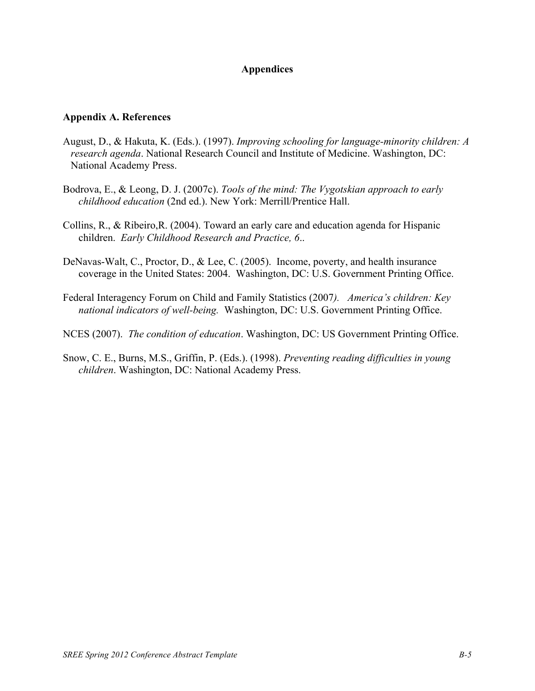### **Appendices**

#### **Appendix A. References**

- August, D., & Hakuta, K. (Eds.). (1997). *Improving schooling for language-minority children: A research agenda*. National Research Council and Institute of Medicine. Washington, DC: National Academy Press.
- Bodrova, E., & Leong, D. J. (2007c). *Tools of the mind: The Vygotskian approach to early childhood education* (2nd ed.). New York: Merrill/Prentice Hall.
- Collins, R., & Ribeiro,R. (2004). Toward an early care and education agenda for Hispanic children. *Early Childhood Research and Practice, 6*..
- DeNavas-Walt, C., Proctor, D., & Lee, C. (2005). Income, poverty, and health insurance coverage in the United States: 2004. Washington, DC: U.S. Government Printing Office.
- Federal Interagency Forum on Child and Family Statistics (2007*). America's children: Key national indicators of well-being.* Washington, DC: U.S. Government Printing Office.
- NCES (2007). *The condition of education*. Washington, DC: US Government Printing Office.
- Snow, C. E., Burns, M.S., Griffin, P. (Eds.). (1998). *Preventing reading difficulties in young children*. Washington, DC: National Academy Press.